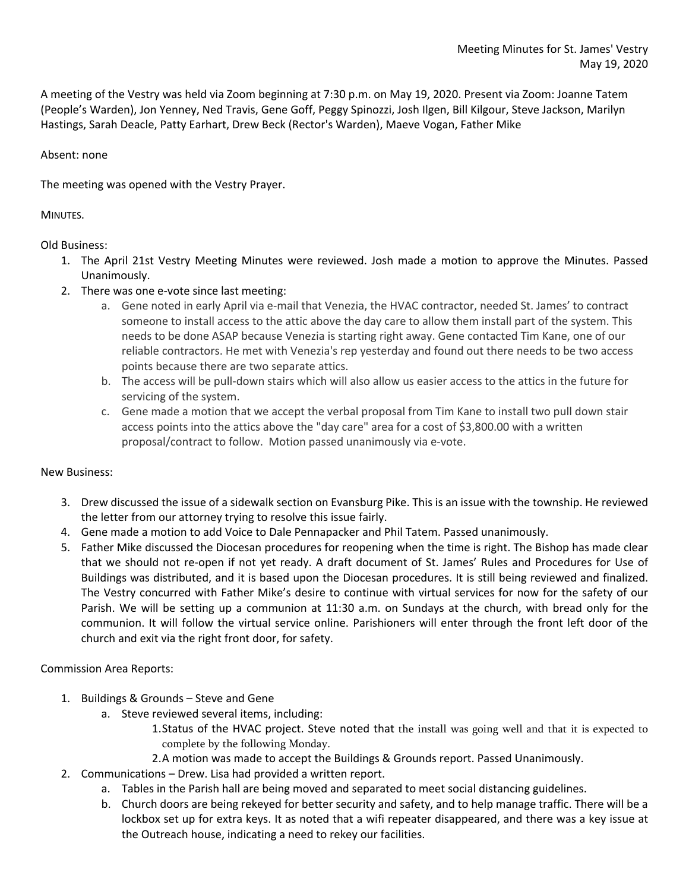A meeting of the Vestry was held via Zoom beginning at 7:30 p.m. on May 19, 2020. Present via Zoom: Joanne Tatem (People's Warden), Jon Yenney, Ned Travis, Gene Goff, Peggy Spinozzi, Josh Ilgen, Bill Kilgour, Steve Jackson, Marilyn Hastings, Sarah Deacle, Patty Earhart, Drew Beck (Rector's Warden), Maeve Vogan, Father Mike

## Absent: none

The meeting was opened with the Vestry Prayer.

## MINUTES.

# Old Business:

- 1. The April 21st Vestry Meeting Minutes were reviewed. Josh made a motion to approve the Minutes. Passed Unanimously.
- 2. There was one e-vote since last meeting:
	- a. Gene noted in early April via e-mail that Venezia, the HVAC contractor, needed St. James' to contract someone to install access to the attic above the day care to allow them install part of the system. This needs to be done ASAP because Venezia is starting right away. Gene contacted Tim Kane, one of our reliable contractors. He met with Venezia's rep yesterday and found out there needs to be two access points because there are two separate attics.
	- b. The access will be pull-down stairs which will also allow us easier access to the attics in the future for servicing of the system.
	- c. Gene made a motion that we accept the verbal proposal from Tim Kane to install two pull down stair access points into the attics above the "day care" area for a cost of \$3,800.00 with a written proposal/contract to follow. Motion passed unanimously via e-vote.

#### New Business:

- 3. Drew discussed the issue of a sidewalk section on Evansburg Pike. This is an issue with the township. He reviewed the letter from our attorney trying to resolve this issue fairly.
- 4. Gene made a motion to add Voice to Dale Pennapacker and Phil Tatem. Passed unanimously.
- 5. Father Mike discussed the Diocesan procedures for reopening when the time is right. The Bishop has made clear that we should not re-open if not yet ready. A draft document of St. James' Rules and Procedures for Use of Buildings was distributed, and it is based upon the Diocesan procedures. It is still being reviewed and finalized. The Vestry concurred with Father Mike's desire to continue with virtual services for now for the safety of our Parish. We will be setting up a communion at 11:30 a.m. on Sundays at the church, with bread only for the communion. It will follow the virtual service online. Parishioners will enter through the front left door of the church and exit via the right front door, for safety.

# Commission Area Reports:

- 1. Buildings & Grounds Steve and Gene
	- a. Steve reviewed several items, including:
		- 1.Status of the HVAC project. Steve noted that the install was going well and that it is expected to complete by the following Monday.
		- 2.A motion was made to accept the Buildings & Grounds report. Passed Unanimously.
- 2. Communications Drew. Lisa had provided a written report.
	- a. Tables in the Parish hall are being moved and separated to meet social distancing guidelines.
	- b. Church doors are being rekeyed for better security and safety, and to help manage traffic. There will be a lockbox set up for extra keys. It as noted that a wifi repeater disappeared, and there was a key issue at the Outreach house, indicating a need to rekey our facilities.